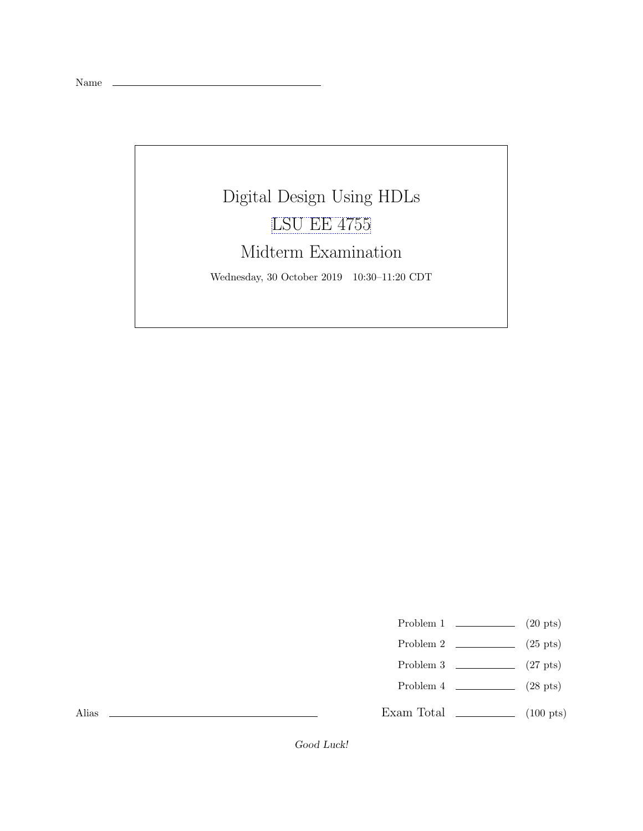

- Problem 1  $\qquad \qquad (20 \text{ pts})$
- Problem 2  $\qquad \qquad (25 \text{ pts})$
- Problem 3  $\qquad \qquad$  (27 pts)
- Problem 4  $\qquad \qquad (28 \text{ pts})$
- Exam Total \_\_\_\_\_\_\_\_\_\_\_\_\_ (100 pts)

Alias

Good Luck!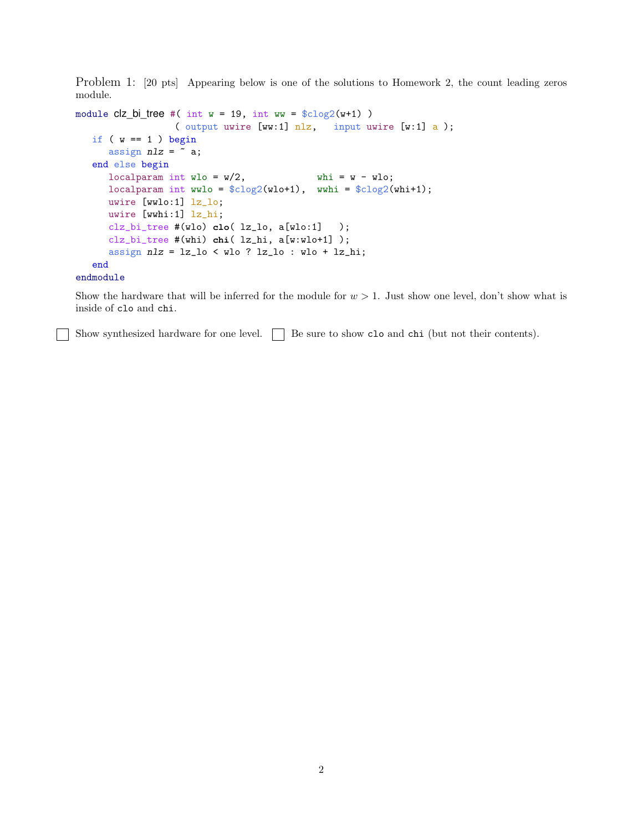Problem 1: [20 pts] Appearing below is one of the solutions to Homework 2, the count leading zeros module.

```
module clz_bi_tree #( int w = 19, int ww = clz_0(w+1) )
                ( output uwire [ww:1] nlz, input uwire [w:1] a );
if (w == 1) begin
   assign nlz = \tilde{a};
end else begin
   localparam int wlo = w/2, whi = w - wlo;
   localparam int wwlo = $clog2(wlo+1), wwhi = $clog2(whi+1);
   uwire [wwlo:1] lz_lo;
   uwire [wwhi:1] lz_hi;
   clz_bi_tree #(wlo) clo( lz_lo, a[wlo:1] );
   clz_bi_tree #(whi) chi( lz_hi, a[w:wlo+1] );
   assign nlz = lz_lo < wlo ? lz_lo : wlo + lz_hi;
 end
```
## endmodule

Show the hardware that will be inferred for the module for  $w > 1$ . Just show one level, don't show what is inside of clo and chi.

Show synthesized hardware for one level.  $\Box$  Be sure to show clo and chi (but not their contents).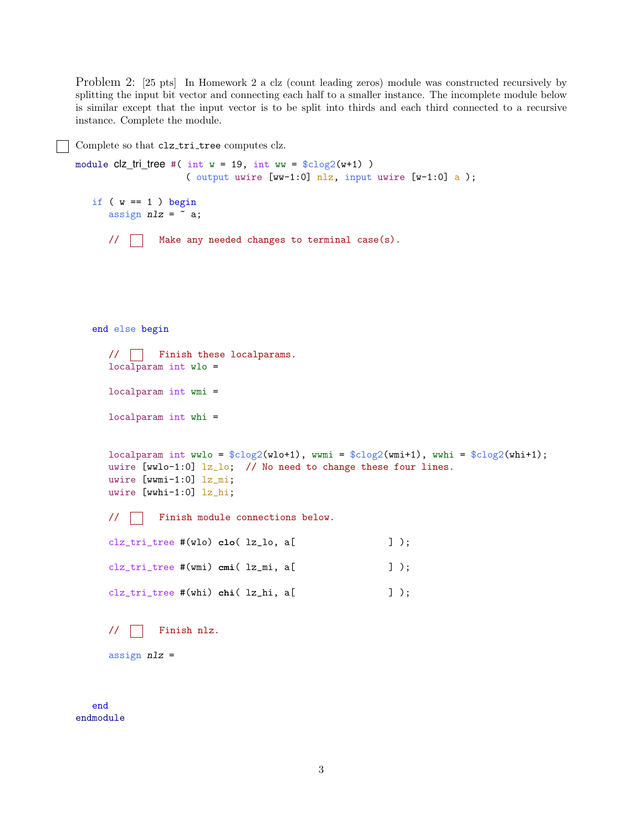Problem 2: [25 pts] In Homework 2 a clz (count leading zeros) module was constructed recursively by splitting the input bit vector and connecting each half to a smaller instance. The incomplete module below is similar except that the input vector is to be split into thirds and each third connected to a recursive instance. Complete the module.

Complete so that clz tri tree computes clz.

```
module clz_tri_ree #( int w = 19, int ww = clog2(w+1))
                ( output uwire [ww-1:0] nlz, input uwire [w-1:0] a );
if (w == 1) begin
   assign nlz = \tilde{a};
   // Make any needed changes to terminal case(s).
end else begin
   // Finish these localparams.
   localparam int wlo =
   localparam int wmi =
   localparam int whi =
   localparam int wwlo = $clog2(wlo+1), wwmi = $clog2(wmi+1), wwhi = $clog2(whi+1);
   uwire [wwlo-1:0] \frac{1}{2} lo; // No need to change these four lines.
   uwire [wwmi-1:0] lz_mi;
   uwire [wwhi-1:0] lz_hi;
   // Finish module connections below.
   clz_tri_tree #(wlo) clo( lz_lo, a[ ] );
   clz_tri_tree #(wmi) cmi( lz_mi, a[ ] );
   clz_tri_tree #(whi) chi( lz_hi, a[ ] );
   // Finish nlz.
   assign nlz =
```
end endmodule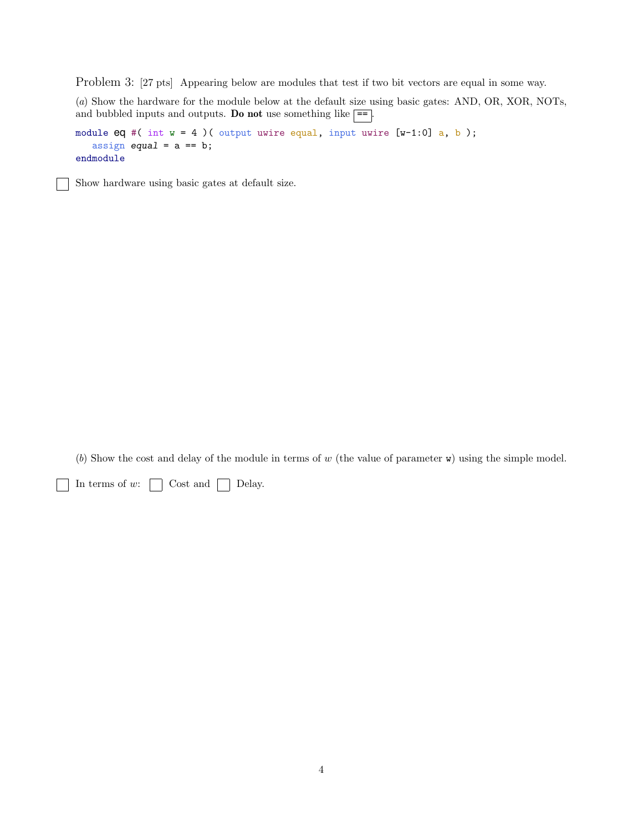Problem 3: [27 pts] Appearing below are modules that test if two bit vectors are equal in some way.

(a) Show the hardware for the module below at the default size using basic gates: AND, OR, XOR, NOTs, and bubbled inputs and outputs. Do not use something like  $=$ .

module  $eq \#( int w = 4)$  ( output uwire equal, input uwire [w-1:0] a, b); assign equal =  $a == b$ ; endmodule

Show hardware using basic gates at default size.

(b) Show the cost and delay of the module in terms of w (the value of parameter  $\bf{w}$ ) using the simple model.

 $\Box$  In terms of w:  $\Box$  Cost and  $\Box$  Delay.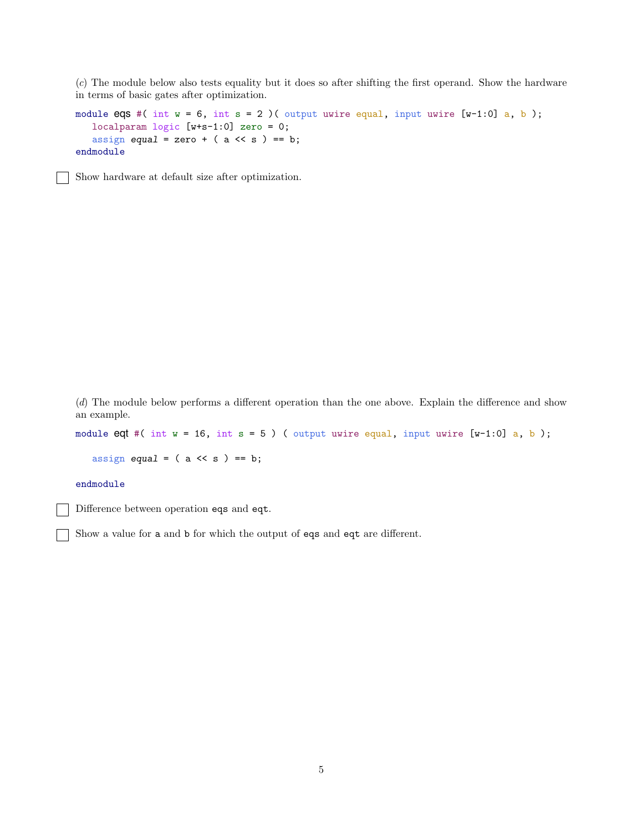(c) The module below also tests equality but it does so after shifting the first operand. Show the hardware in terms of basic gates after optimization.

```
module eqs #( int w = 6, int s = 2)( output uwire equal, input uwire [w-1:0] a, b);
 localparam logic [w+s-1:0] zero = 0;
 assign equal = zero + (a \lt\lt s) == b;endmodule
```
Show hardware at default size after optimization.

(d) The module below performs a different operation than the one above. Explain the difference and show an example.

module eqt #( int  $w = 16$ , int  $s = 5$ ) ( output uwire equal, input uwire  $[w-1:0]$  a, b);

assign equal =  $(a \lt\lt s) == b;$ 

## endmodule

Difference between operation eqs and eqt.

Show a value for a and b for which the output of eqs and eqt are different.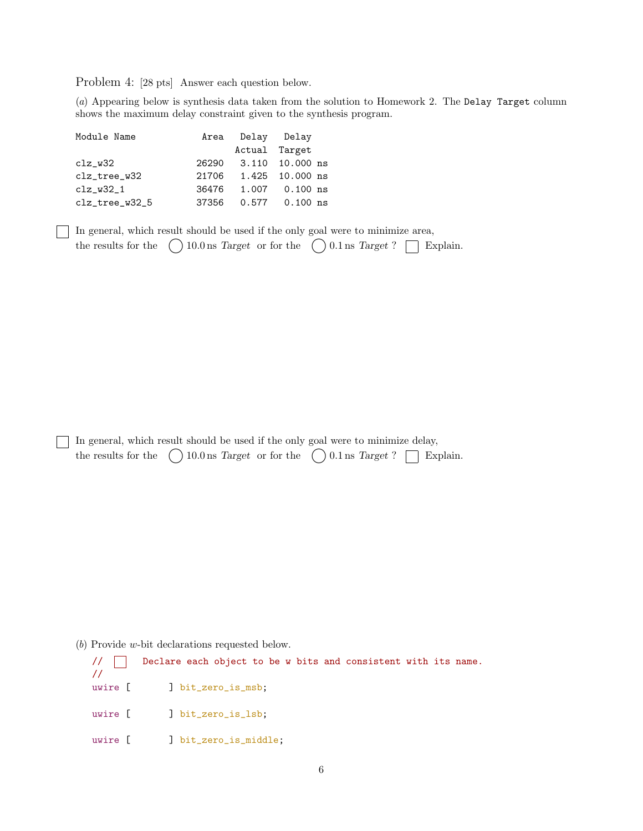Problem 4: [28 pts] Answer each question below.

(a) Appearing below is synthesis data taken from the solution to Homework 2. The Delay Target column shows the maximum delay constraint given to the synthesis program.

| Module Name    |       | Area Delay Delay |                       |
|----------------|-------|------------------|-----------------------|
|                |       | Actual Target    |                       |
| $clz_w32$      |       |                  | 26290 3.110 10.000 ns |
| clz_tree_w32   |       |                  | 21706 1.425 10.000 ns |
| $clz_w32_1$    | 36476 |                  | 1.007 0.100 ns        |
| clz_tree_w32_5 | 37356 |                  |                       |

In general, which result should be used if the only goal were to minimize area, the results for the  $( ) 10.0$  ns Target or for the  $( ) 0.1$  ns Target?  $\Box$  Explain.

In general, which result should be used if the only goal were to minimize delay, the results for the  $\bigcirc$  10.0 ns Target or for the  $\bigcirc$  0.1 ns Target?  $\Box$  Explain.

(b) Provide w-bit declarations requested below.

// Declare each object to be w bits and consistent with its name. // uwire [ ] bit\_zero\_is\_msb; uwire [ ] bit\_zero\_is\_lsb; uwire [ ] bit\_zero\_is\_middle;